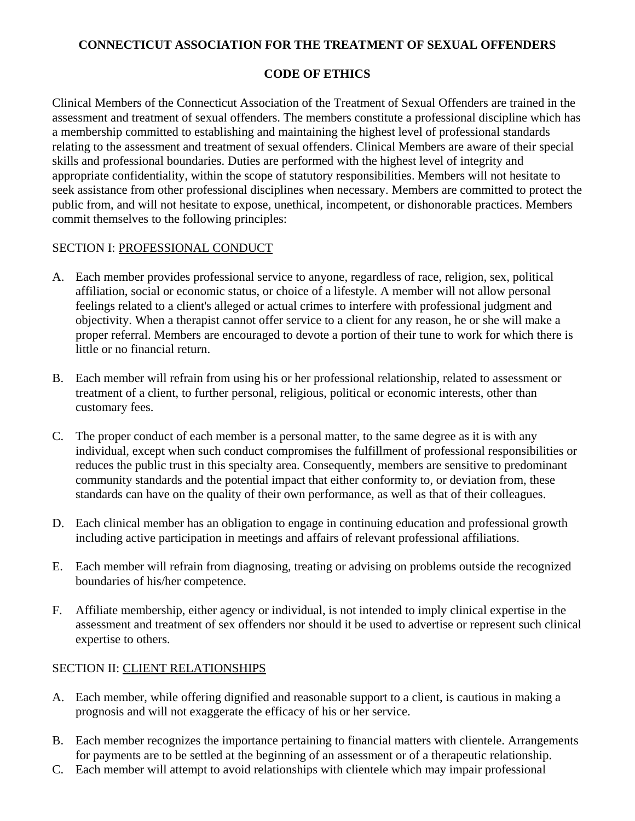## **CONNECTICUT ASSOCIATION FOR THE TREATMENT OF SEXUAL OFFENDERS**

# **CODE OF ETHICS**

Clinical Members of the Connecticut Association of the Treatment of Sexual Offenders are trained in the assessment and treatment of sexual offenders. The members constitute a professional discipline which has a membership committed to establishing and maintaining the highest level of professional standards relating to the assessment and treatment of sexual offenders. Clinical Members are aware of their special skills and professional boundaries. Duties are performed with the highest level of integrity and appropriate confidentiality, within the scope of statutory responsibilities. Members will not hesitate to seek assistance from other professional disciplines when necessary. Members are committed to protect the public from, and will not hesitate to expose, unethical, incompetent, or dishonorable practices. Members commit themselves to the following principles:

# SECTION I: PROFESSIONAL CONDUCT

- A. Each member provides professional service to anyone, regardless of race, religion, sex, political affiliation, social or economic status, or choice of a lifestyle. A member will not allow personal feelings related to a client's alleged or actual crimes to interfere with professional judgment and objectivity. When a therapist cannot offer service to a client for any reason, he or she will make a proper referral. Members are encouraged to devote a portion of their tune to work for which there is little or no financial return.
- B. Each member will refrain from using his or her professional relationship, related to assessment or treatment of a client, to further personal, religious, political or economic interests, other than customary fees.
- C. The proper conduct of each member is a personal matter, to the same degree as it is with any individual, except when such conduct compromises the fulfillment of professional responsibilities or reduces the public trust in this specialty area. Consequently, members are sensitive to predominant community standards and the potential impact that either conformity to, or deviation from, these standards can have on the quality of their own performance, as well as that of their colleagues.
- D. Each clinical member has an obligation to engage in continuing education and professional growth including active participation in meetings and affairs of relevant professional affiliations.
- E. Each member will refrain from diagnosing, treating or advising on problems outside the recognized boundaries of his/her competence.
- F. Affiliate membership, either agency or individual, is not intended to imply clinical expertise in the assessment and treatment of sex offenders nor should it be used to advertise or represent such clinical expertise to others.

# SECTION II: CLIENT RELATIONSHIPS

- A. Each member, while offering dignified and reasonable support to a client, is cautious in making a prognosis and will not exaggerate the efficacy of his or her service.
- B. Each member recognizes the importance pertaining to financial matters with clientele. Arrangements for payments are to be settled at the beginning of an assessment or of a therapeutic relationship.
- C. Each member will attempt to avoid relationships with clientele which may impair professional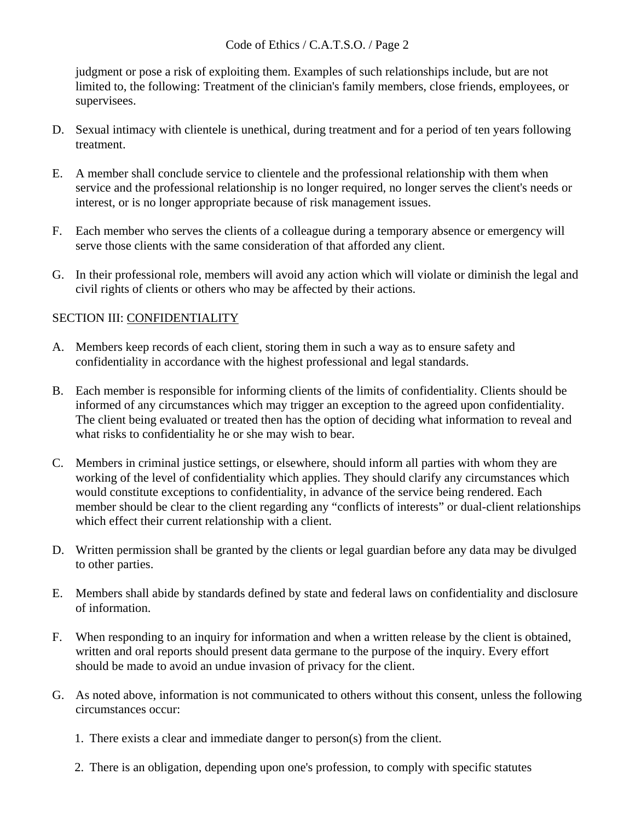judgment or pose a risk of exploiting them. Examples of such relationships include, but are not limited to, the following: Treatment of the clinician's family members, close friends, employees, or supervisees.

- D. Sexual intimacy with clientele is unethical, during treatment and for a period of ten years following treatment.
- E. A member shall conclude service to clientele and the professional relationship with them when service and the professional relationship is no longer required, no longer serves the client's needs or interest, or is no longer appropriate because of risk management issues.
- F. Each member who serves the clients of a colleague during a temporary absence or emergency will serve those clients with the same consideration of that afforded any client.
- G. In their professional role, members will avoid any action which will violate or diminish the legal and civil rights of clients or others who may be affected by their actions.

# SECTION III: CONFIDENTIALITY

- A. Members keep records of each client, storing them in such a way as to ensure safety and confidentiality in accordance with the highest professional and legal standards.
- B. Each member is responsible for informing clients of the limits of confidentiality. Clients should be informed of any circumstances which may trigger an exception to the agreed upon confidentiality. The client being evaluated or treated then has the option of deciding what information to reveal and what risks to confidentiality he or she may wish to bear.
- C. Members in criminal justice settings, or elsewhere, should inform all parties with whom they are working of the level of confidentiality which applies. They should clarify any circumstances which would constitute exceptions to confidentiality, in advance of the service being rendered. Each member should be clear to the client regarding any "conflicts of interests" or dual-client relationships which effect their current relationship with a client.
- D. Written permission shall be granted by the clients or legal guardian before any data may be divulged to other parties.
- E. Members shall abide by standards defined by state and federal laws on confidentiality and disclosure of information.
- F. When responding to an inquiry for information and when a written release by the client is obtained, written and oral reports should present data germane to the purpose of the inquiry. Every effort should be made to avoid an undue invasion of privacy for the client.
- G. As noted above, information is not communicated to others without this consent, unless the following circumstances occur:
	- 1. There exists a clear and immediate danger to person(s) from the client.
	- 2. There is an obligation, depending upon one's profession, to comply with specific statutes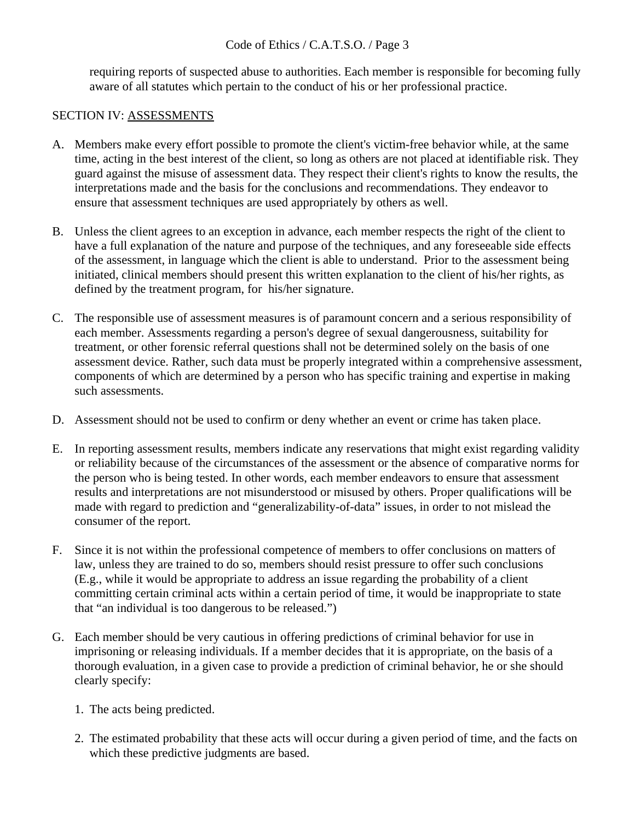requiring reports of suspected abuse to authorities. Each member is responsible for becoming fully aware of all statutes which pertain to the conduct of his or her professional practice.

### SECTION IV: ASSESSMENTS

- A. Members make every effort possible to promote the client's victim-free behavior while, at the same time, acting in the best interest of the client, so long as others are not placed at identifiable risk. They guard against the misuse of assessment data. They respect their client's rights to know the results, the interpretations made and the basis for the conclusions and recommendations. They endeavor to ensure that assessment techniques are used appropriately by others as well.
- B. Unless the client agrees to an exception in advance, each member respects the right of the client to have a full explanation of the nature and purpose of the techniques, and any foreseeable side effects of the assessment, in language which the client is able to understand. Prior to the assessment being initiated, clinical members should present this written explanation to the client of his/her rights, as defined by the treatment program, for his/her signature.
- C. The responsible use of assessment measures is of paramount concern and a serious responsibility of each member. Assessments regarding a person's degree of sexual dangerousness, suitability for treatment, or other forensic referral questions shall not be determined solely on the basis of one assessment device. Rather, such data must be properly integrated within a comprehensive assessment, components of which are determined by a person who has specific training and expertise in making such assessments.
- D. Assessment should not be used to confirm or deny whether an event or crime has taken place.
- E. In reporting assessment results, members indicate any reservations that might exist regarding validity or reliability because of the circumstances of the assessment or the absence of comparative norms for the person who is being tested. In other words, each member endeavors to ensure that assessment results and interpretations are not misunderstood or misused by others. Proper qualifications will be made with regard to prediction and "generalizability-of-data" issues, in order to not mislead the consumer of the report.
- F. Since it is not within the professional competence of members to offer conclusions on matters of law, unless they are trained to do so, members should resist pressure to offer such conclusions (E.g., while it would be appropriate to address an issue regarding the probability of a client committing certain criminal acts within a certain period of time, it would be inappropriate to state that "an individual is too dangerous to be released.")
- G. Each member should be very cautious in offering predictions of criminal behavior for use in imprisoning or releasing individuals. If a member decides that it is appropriate, on the basis of a thorough evaluation, in a given case to provide a prediction of criminal behavior, he or she should clearly specify:
	- 1. The acts being predicted.
	- 2. The estimated probability that these acts will occur during a given period of time, and the facts on which these predictive judgments are based.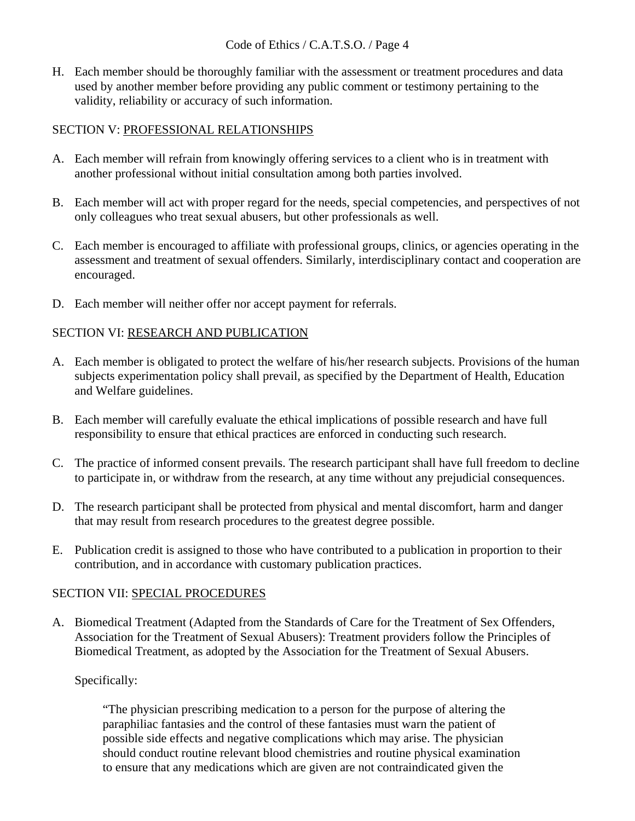H. Each member should be thoroughly familiar with the assessment or treatment procedures and data used by another member before providing any public comment or testimony pertaining to the validity, reliability or accuracy of such information.

# SECTION V: PROFESSIONAL RELATIONSHIPS

- A. Each member will refrain from knowingly offering services to a client who is in treatment with another professional without initial consultation among both parties involved.
- B. Each member will act with proper regard for the needs, special competencies, and perspectives of not only colleagues who treat sexual abusers, but other professionals as well.
- C. Each member is encouraged to affiliate with professional groups, clinics, or agencies operating in the assessment and treatment of sexual offenders. Similarly, interdisciplinary contact and cooperation are encouraged.
- D. Each member will neither offer nor accept payment for referrals.

## SECTION VI: RESEARCH AND PUBLICATION

- A. Each member is obligated to protect the welfare of his/her research subjects. Provisions of the human subjects experimentation policy shall prevail, as specified by the Department of Health, Education and Welfare guidelines.
- B. Each member will carefully evaluate the ethical implications of possible research and have full responsibility to ensure that ethical practices are enforced in conducting such research.
- C. The practice of informed consent prevails. The research participant shall have full freedom to decline to participate in, or withdraw from the research, at any time without any prejudicial consequences.
- D. The research participant shall be protected from physical and mental discomfort, harm and danger that may result from research procedures to the greatest degree possible.
- E. Publication credit is assigned to those who have contributed to a publication in proportion to their contribution, and in accordance with customary publication practices.

## SECTION VII: SPECIAL PROCEDURES

A. Biomedical Treatment (Adapted from the Standards of Care for the Treatment of Sex Offenders, Association for the Treatment of Sexual Abusers): Treatment providers follow the Principles of Biomedical Treatment, as adopted by the Association for the Treatment of Sexual Abusers.

# Specifically:

"The physician prescribing medication to a person for the purpose of altering the paraphiliac fantasies and the control of these fantasies must warn the patient of possible side effects and negative complications which may arise. The physician should conduct routine relevant blood chemistries and routine physical examination to ensure that any medications which are given are not contraindicated given the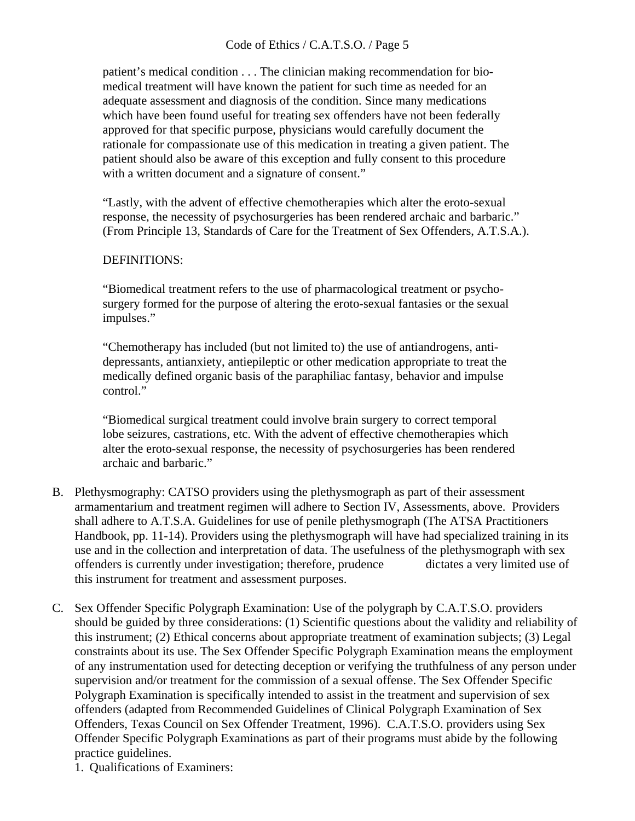patient's medical condition . . . The clinician making recommendation for biomedical treatment will have known the patient for such time as needed for an adequate assessment and diagnosis of the condition. Since many medications which have been found useful for treating sex offenders have not been federally approved for that specific purpose, physicians would carefully document the rationale for compassionate use of this medication in treating a given patient. The patient should also be aware of this exception and fully consent to this procedure with a written document and a signature of consent."

"Lastly, with the advent of effective chemotherapies which alter the eroto-sexual response, the necessity of psychosurgeries has been rendered archaic and barbaric." (From Principle 13, Standards of Care for the Treatment of Sex Offenders, A.T.S.A.).

### DEFINITIONS:

"Biomedical treatment refers to the use of pharmacological treatment or psychosurgery formed for the purpose of altering the eroto-sexual fantasies or the sexual impulses."

"Chemotherapy has included (but not limited to) the use of antiandrogens, antidepressants, antianxiety, antiepileptic or other medication appropriate to treat the medically defined organic basis of the paraphiliac fantasy, behavior and impulse control."

"Biomedical surgical treatment could involve brain surgery to correct temporal lobe seizures, castrations, etc. With the advent of effective chemotherapies which alter the eroto-sexual response, the necessity of psychosurgeries has been rendered archaic and barbaric."

- B. Plethysmography: CATSO providers using the plethysmograph as part of their assessment armamentarium and treatment regimen will adhere to Section IV, Assessments, above. Providers shall adhere to A.T.S.A. Guidelines for use of penile plethysmograph (The ATSA Practitioners Handbook, pp. 11-14). Providers using the plethysmograph will have had specialized training in its use and in the collection and interpretation of data. The usefulness of the plethysmograph with sex offenders is currently under investigation; therefore, prudence dictates a very limited use of this instrument for treatment and assessment purposes.
- C. Sex Offender Specific Polygraph Examination: Use of the polygraph by C.A.T.S.O. providers should be guided by three considerations: (1) Scientific questions about the validity and reliability of this instrument; (2) Ethical concerns about appropriate treatment of examination subjects; (3) Legal constraints about its use. The Sex Offender Specific Polygraph Examination means the employment of any instrumentation used for detecting deception or verifying the truthfulness of any person under supervision and/or treatment for the commission of a sexual offense. The Sex Offender Specific Polygraph Examination is specifically intended to assist in the treatment and supervision of sex offenders (adapted from Recommended Guidelines of Clinical Polygraph Examination of Sex Offenders, Texas Council on Sex Offender Treatment, 1996). C.A.T.S.O. providers using Sex Offender Specific Polygraph Examinations as part of their programs must abide by the following practice guidelines.

1. Qualifications of Examiners: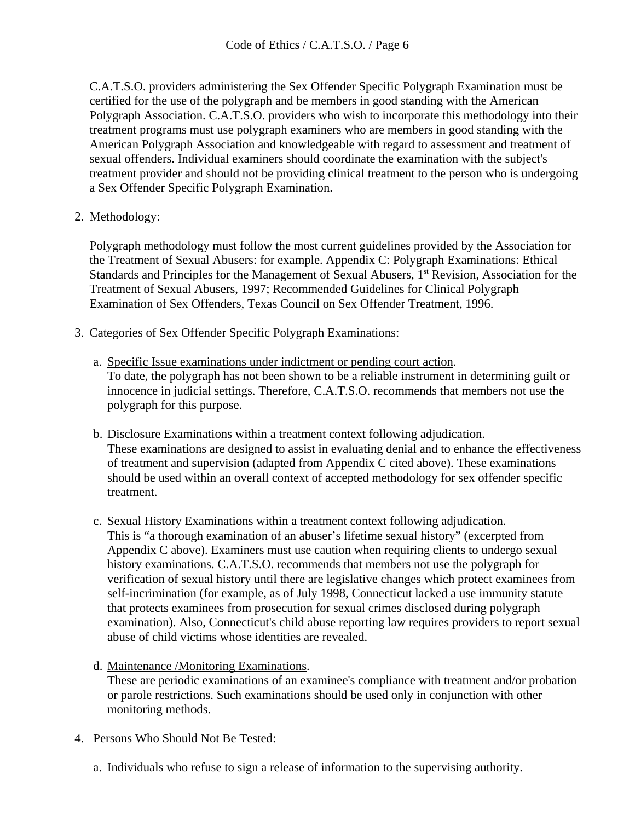C.A.T.S.O. providers administering the Sex Offender Specific Polygraph Examination must be certified for the use of the polygraph and be members in good standing with the American Polygraph Association. C.A.T.S.O. providers who wish to incorporate this methodology into their treatment programs must use polygraph examiners who are members in good standing with the American Polygraph Association and knowledgeable with regard to assessment and treatment of sexual offenders. Individual examiners should coordinate the examination with the subject's treatment provider and should not be providing clinical treatment to the person who is undergoing a Sex Offender Specific Polygraph Examination.

2. Methodology:

Polygraph methodology must follow the most current guidelines provided by the Association for the Treatment of Sexual Abusers: for example. Appendix C: Polygraph Examinations: Ethical Standards and Principles for the Management of Sexual Abusers, 1<sup>st</sup> Revision, Association for the Treatment of Sexual Abusers, 1997; Recommended Guidelines for Clinical Polygraph Examination of Sex Offenders, Texas Council on Sex Offender Treatment, 1996.

- 3. Categories of Sex Offender Specific Polygraph Examinations:
	- a. Specific Issue examinations under indictment or pending court action. To date, the polygraph has not been shown to be a reliable instrument in determining guilt or innocence in judicial settings. Therefore, C.A.T.S.O. recommends that members not use the polygraph for this purpose.
	- b. Disclosure Examinations within a treatment context following adjudication. These examinations are designed to assist in evaluating denial and to enhance the effectiveness of treatment and supervision (adapted from Appendix C cited above). These examinations should be used within an overall context of accepted methodology for sex offender specific treatment.
	- c. Sexual History Examinations within a treatment context following adjudication. This is "a thorough examination of an abuser's lifetime sexual history" (excerpted from Appendix C above). Examiners must use caution when requiring clients to undergo sexual history examinations. C.A.T.S.O. recommends that members not use the polygraph for verification of sexual history until there are legislative changes which protect examinees from self-incrimination (for example, as of July 1998, Connecticut lacked a use immunity statute that protects examinees from prosecution for sexual crimes disclosed during polygraph examination). Also, Connecticut's child abuse reporting law requires providers to report sexual abuse of child victims whose identities are revealed.
	- d. Maintenance /Monitoring Examinations.

These are periodic examinations of an examinee's compliance with treatment and/or probation or parole restrictions. Such examinations should be used only in conjunction with other monitoring methods.

- 4. Persons Who Should Not Be Tested:
	- a. Individuals who refuse to sign a release of information to the supervising authority.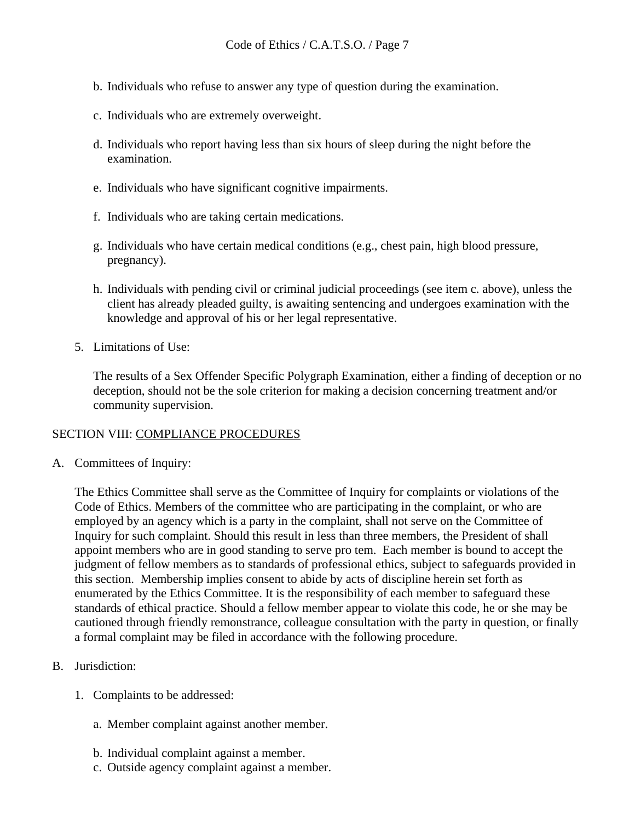- b. Individuals who refuse to answer any type of question during the examination.
- c. Individuals who are extremely overweight.
- d. Individuals who report having less than six hours of sleep during the night before the examination.
- e. Individuals who have significant cognitive impairments.
- f. Individuals who are taking certain medications.
- g. Individuals who have certain medical conditions (e.g., chest pain, high blood pressure, pregnancy).
- h. Individuals with pending civil or criminal judicial proceedings (see item c. above), unless the client has already pleaded guilty, is awaiting sentencing and undergoes examination with the knowledge and approval of his or her legal representative.
- 5. Limitations of Use:

The results of a Sex Offender Specific Polygraph Examination, either a finding of deception or no deception, should not be the sole criterion for making a decision concerning treatment and/or community supervision.

#### SECTION VIII: COMPLIANCE PROCEDURES

A. Committees of Inquiry:

The Ethics Committee shall serve as the Committee of Inquiry for complaints or violations of the Code of Ethics. Members of the committee who are participating in the complaint, or who are employed by an agency which is a party in the complaint, shall not serve on the Committee of Inquiry for such complaint. Should this result in less than three members, the President of shall appoint members who are in good standing to serve pro tem. Each member is bound to accept the judgment of fellow members as to standards of professional ethics, subject to safeguards provided in this section. Membership implies consent to abide by acts of discipline herein set forth as enumerated by the Ethics Committee. It is the responsibility of each member to safeguard these standards of ethical practice. Should a fellow member appear to violate this code, he or she may be cautioned through friendly remonstrance, colleague consultation with the party in question, or finally a formal complaint may be filed in accordance with the following procedure.

- B. Jurisdiction:
	- 1. Complaints to be addressed:
		- a. Member complaint against another member.
		- b. Individual complaint against a member.
		- c. Outside agency complaint against a member.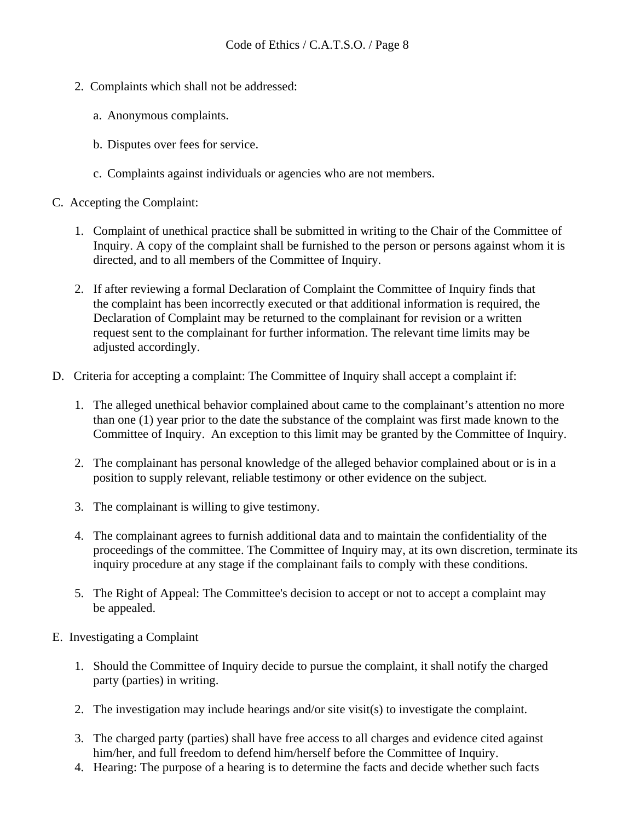- 2. Complaints which shall not be addressed:
	- a. Anonymous complaints.
	- b. Disputes over fees for service.
	- c. Complaints against individuals or agencies who are not members.
- C. Accepting the Complaint:
	- 1. Complaint of unethical practice shall be submitted in writing to the Chair of the Committee of Inquiry. A copy of the complaint shall be furnished to the person or persons against whom it is directed, and to all members of the Committee of Inquiry.
	- 2. If after reviewing a formal Declaration of Complaint the Committee of Inquiry finds that the complaint has been incorrectly executed or that additional information is required, the Declaration of Complaint may be returned to the complainant for revision or a written request sent to the complainant for further information. The relevant time limits may be adjusted accordingly.
- D. Criteria for accepting a complaint: The Committee of Inquiry shall accept a complaint if:
	- 1. The alleged unethical behavior complained about came to the complainant's attention no more than one (1) year prior to the date the substance of the complaint was first made known to the Committee of Inquiry. An exception to this limit may be granted by the Committee of Inquiry.
	- 2. The complainant has personal knowledge of the alleged behavior complained about or is in a position to supply relevant, reliable testimony or other evidence on the subject.
	- 3. The complainant is willing to give testimony.
	- 4. The complainant agrees to furnish additional data and to maintain the confidentiality of the proceedings of the committee. The Committee of Inquiry may, at its own discretion, terminate its inquiry procedure at any stage if the complainant fails to comply with these conditions.
	- 5. The Right of Appeal: The Committee's decision to accept or not to accept a complaint may be appealed.
- E. Investigating a Complaint
	- 1. Should the Committee of Inquiry decide to pursue the complaint, it shall notify the charged party (parties) in writing.
	- 2. The investigation may include hearings and/or site visit(s) to investigate the complaint.
	- 3. The charged party (parties) shall have free access to all charges and evidence cited against him/her, and full freedom to defend him/herself before the Committee of Inquiry.
	- 4. Hearing: The purpose of a hearing is to determine the facts and decide whether such facts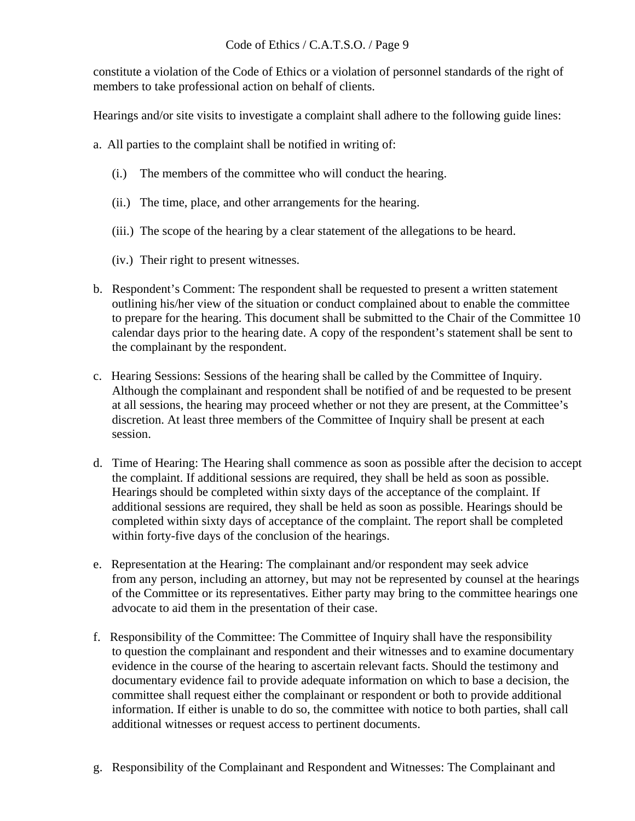constitute a violation of the Code of Ethics or a violation of personnel standards of the right of members to take professional action on behalf of clients.

Hearings and/or site visits to investigate a complaint shall adhere to the following guide lines:

a. All parties to the complaint shall be notified in writing of:

- (i.) The members of the committee who will conduct the hearing.
- (ii.) The time, place, and other arrangements for the hearing.
- (iii.) The scope of the hearing by a clear statement of the allegations to be heard.
- (iv.) Their right to present witnesses.
- b. Respondent's Comment: The respondent shall be requested to present a written statement outlining his/her view of the situation or conduct complained about to enable the committee to prepare for the hearing. This document shall be submitted to the Chair of the Committee 10 calendar days prior to the hearing date. A copy of the respondent's statement shall be sent to the complainant by the respondent.
- c. Hearing Sessions: Sessions of the hearing shall be called by the Committee of Inquiry. Although the complainant and respondent shall be notified of and be requested to be present at all sessions, the hearing may proceed whether or not they are present, at the Committee's discretion. At least three members of the Committee of Inquiry shall be present at each session.
- d. Time of Hearing: The Hearing shall commence as soon as possible after the decision to accept the complaint. If additional sessions are required, they shall be held as soon as possible. Hearings should be completed within sixty days of the acceptance of the complaint. If additional sessions are required, they shall be held as soon as possible. Hearings should be completed within sixty days of acceptance of the complaint. The report shall be completed within forty-five days of the conclusion of the hearings.
- e. Representation at the Hearing: The complainant and/or respondent may seek advice from any person, including an attorney, but may not be represented by counsel at the hearings of the Committee or its representatives. Either party may bring to the committee hearings one advocate to aid them in the presentation of their case.
- f. Responsibility of the Committee: The Committee of Inquiry shall have the responsibility to question the complainant and respondent and their witnesses and to examine documentary evidence in the course of the hearing to ascertain relevant facts. Should the testimony and documentary evidence fail to provide adequate information on which to base a decision, the committee shall request either the complainant or respondent or both to provide additional information. If either is unable to do so, the committee with notice to both parties, shall call additional witnesses or request access to pertinent documents.
- g. Responsibility of the Complainant and Respondent and Witnesses: The Complainant and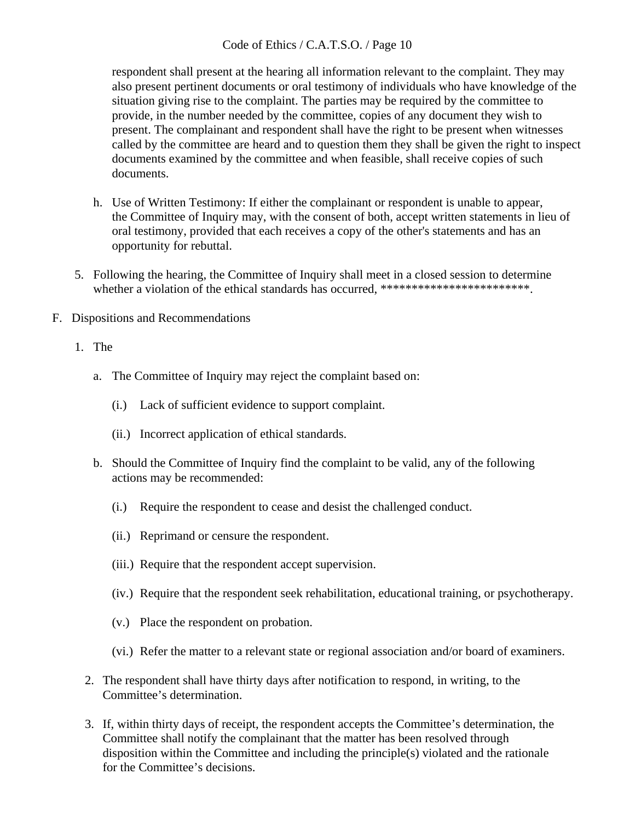respondent shall present at the hearing all information relevant to the complaint. They may also present pertinent documents or oral testimony of individuals who have knowledge of the situation giving rise to the complaint. The parties may be required by the committee to provide, in the number needed by the committee, copies of any document they wish to present. The complainant and respondent shall have the right to be present when witnesses called by the committee are heard and to question them they shall be given the right to inspect documents examined by the committee and when feasible, shall receive copies of such documents.

- h. Use of Written Testimony: If either the complainant or respondent is unable to appear, the Committee of Inquiry may, with the consent of both, accept written statements in lieu of oral testimony, provided that each receives a copy of the other's statements and has an opportunity for rebuttal.
- 5. Following the hearing, the Committee of Inquiry shall meet in a closed session to determine whether a violation of the ethical standards has occurred, \*\*\*\*\*\*\*\*\*\*\*\*\*\*\*\*\*\*\*\*\*\*\*\*.
- F. Dispositions and Recommendations

## 1. The

- a. The Committee of Inquiry may reject the complaint based on:
	- (i.) Lack of sufficient evidence to support complaint.
	- (ii.) Incorrect application of ethical standards.
- b. Should the Committee of Inquiry find the complaint to be valid, any of the following actions may be recommended:
	- (i.) Require the respondent to cease and desist the challenged conduct.
	- (ii.) Reprimand or censure the respondent.
	- (iii.) Require that the respondent accept supervision.
	- (iv.) Require that the respondent seek rehabilitation, educational training, or psychotherapy.
	- (v.) Place the respondent on probation.
	- (vi.) Refer the matter to a relevant state or regional association and/or board of examiners.
- 2. The respondent shall have thirty days after notification to respond, in writing, to the Committee's determination.
- 3. If, within thirty days of receipt, the respondent accepts the Committee's determination, the Committee shall notify the complainant that the matter has been resolved through disposition within the Committee and including the principle(s) violated and the rationale for the Committee's decisions.